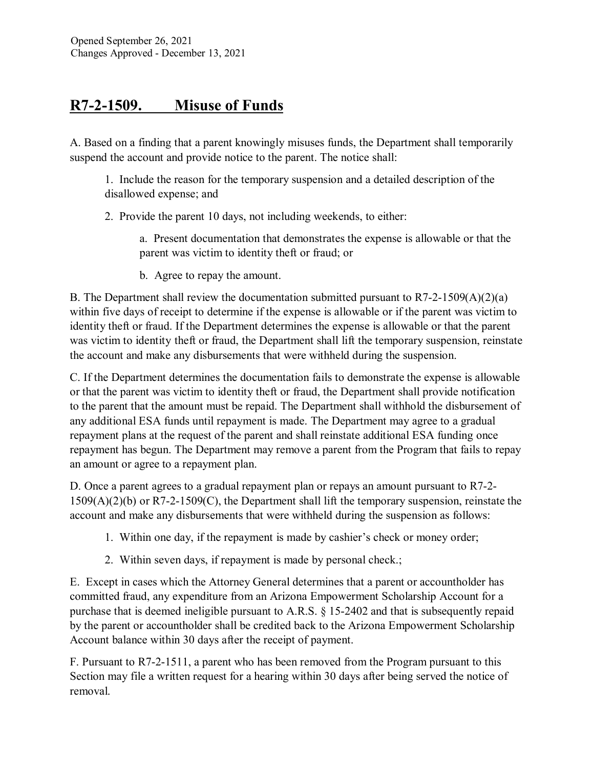## **R7-2-1509. Misuse of Funds**

A. Based on a finding that a parent knowingly misuses funds, the Department shall temporarily suspend the account and provide notice to the parent. The notice shall:

1. Include the reason for the temporary suspension and a detailed description of the disallowed expense; and

2. Provide the parent 10 days, not including weekends, to either:

a. Present documentation that demonstrates the expense is allowable or that the parent was victim to identity theft or fraud; or

b. Agree to repay the amount.

B. The Department shall review the documentation submitted pursuant to R7-2-1509(A)(2)(a) within five days of receipt to determine if the expense is allowable or if the parent was victim to identity theft or fraud. If the Department determines the expense is allowable or that the parent was victim to identity theft or fraud, the Department shall lift the temporary suspension, reinstate the account and make any disbursements that were withheld during the suspension.

C. If the Department determines the documentation fails to demonstrate the expense is allowable or that the parent was victim to identity theft or fraud, the Department shall provide notification to the parent that the amount must be repaid. The Department shall withhold the disbursement of any additional ESA funds until repayment is made. The Department may agree to a gradual repayment plans at the request of the parent and shall reinstate additional ESA funding once repayment has begun. The Department may remove a parent from the Program that fails to repay an amount or agree to a repayment plan.

D. Once a parent agrees to a gradual repayment plan or repays an amount pursuant to R7-2- 1509(A)(2)(b) or R7-2-1509(C), the Department shall lift the temporary suspension, reinstate the account and make any disbursements that were withheld during the suspension as follows:

- 1. Within one day, if the repayment is made by cashier's check or money order;
- 2. Within seven days, if repayment is made by personal check.;

E. Except in cases which the Attorney General determines that a parent or accountholder has committed fraud, any expenditure from an Arizona Empowerment Scholarship Account for a purchase that is deemed ineligible pursuant to A.R.S. § 15-2402 and that is subsequently repaid by the parent or accountholder shall be credited back to the Arizona Empowerment Scholarship Account balance within 30 days after the receipt of payment.

F. Pursuant to R7-2-1511, a parent who has been removed from the Program pursuant to this Section may file a written request for a hearing within 30 days after being served the notice of removal.